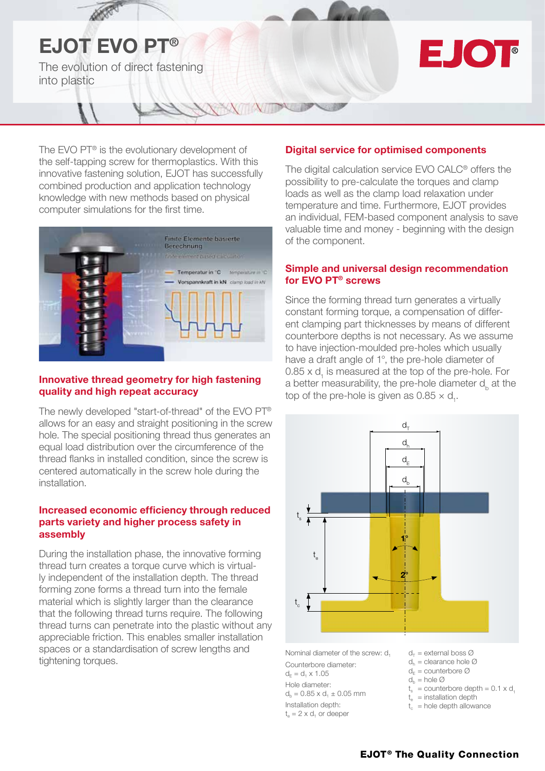# EJOT EVO PT® The evolution of direct fastening into plastic

# EJOT

The EVO PT<sup>®</sup> is the evolutionary development of the self-tapping screw for thermoplastics. With this innovative fastening solution, EJOT has successfully combined production and application technology knowledge with new methods based on physical computer simulations for the first time.



#### Innovative thread geometry for high fastening quality and high repeat accuracy

The newly developed "start-of-thread" of the EVO PT® allows for an easy and straight positioning in the screw hole. The special positioning thread thus generates an equal load distribution over the circumference of the thread flanks in installed condition, since the screw is centered automatically in the screw hole during the installation.

#### Increased economic efficiency through reduced parts variety and higher process safety in assembly

During the installation phase, the innovative forming thread turn creates a torque curve which is virtually independent of the installation depth. The thread forming zone forms a thread turn into the female material which is slightly larger than the clearance that the following thread turns require. The following thread turns can penetrate into the plastic without any appreciable friction. This enables smaller installation spaces or a standardisation of screw lengths and tightening torques.

### Digital service for optimised components

The digital calculation service EVO CALC® offers the possibility to pre-calculate the torques and clamp loads as well as the clamp load relaxation under temperature and time. Furthermore, EJOT provides an individual, FEM-based component analysis to save valuable time and money - beginning with the design of the component.

#### Simple and universal design recommendation for EVO PT® screws

Since the forming thread turn generates a virtually constant forming torque, a compensation of different clamping part thicknesses by means of different counterbore depths is not necessary. As we assume to have injection-moulded pre-holes which usually have a draft angle of 1°, the pre-hole diameter of  $0.85 \times d$ <sub>1</sub> is measured at the top of the pre-hole. For a better measurability, the pre-hole diameter  $d_{\mu}$  at the top of the pre-hole is given as  $0.85 \times d_1$ .



Nominal diameter of the screw: d<sub>1</sub> Counterbore diameter:  $d_E = d_1 \times 1.05$ Hole diameter:  $d_b = 0.85 \times d_1 \pm 0.05$  mm Installation depth:  $t_{\alpha} = 2 \times d_1$  or deeper

 $d_{\tau}$  = external boss  $\varnothing$  $d_h$  = clearance hole  $\varnothing$ 

- $d_{\text{F}}$  = counterbore  $\varnothing$
- $d_h$  = hole  $\varnothing$
- $t_s =$  counterbore depth = 0.1 x d.

 $t_{\text{e}}$  = installation depth

 $t_c$  = hole depth allowance